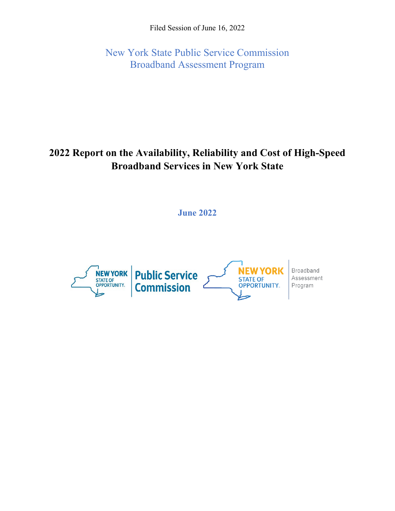Filed Session of June 16, 2022

New York State Public Service Commission Broadband Assessment Program

# **2022 Report on the Availability, Reliability and Cost of High-Speed Broadband Services in New York State**

**June 2022**

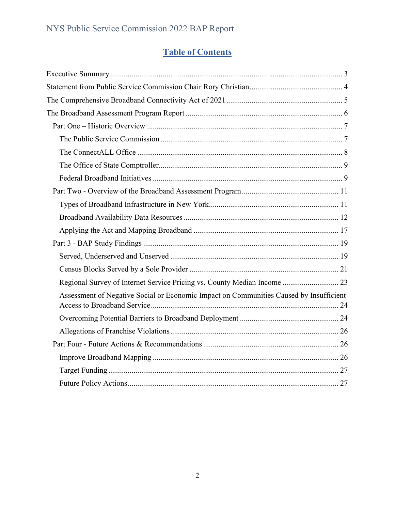## **Table of Contents**

| Regional Survey of Internet Service Pricing vs. County Median Income  23               |
|----------------------------------------------------------------------------------------|
| Assessment of Negative Social or Economic Impact on Communities Caused by Insufficient |
|                                                                                        |
|                                                                                        |
|                                                                                        |
|                                                                                        |
|                                                                                        |
|                                                                                        |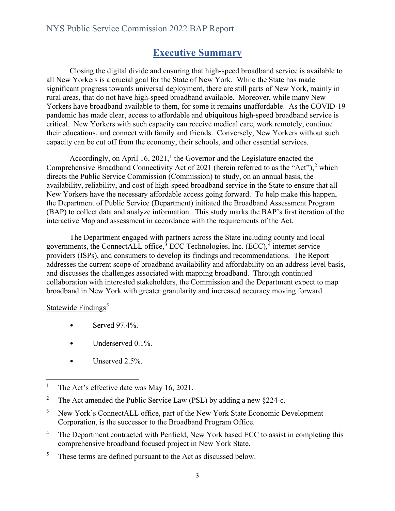## **Executive Summary**

<span id="page-2-0"></span>Closing the digital divide and ensuring that high-speed broadband service is available to all New Yorkers is a crucial goal for the State of New York. While the State has made significant progress towards universal deployment, there are still parts of New York, mainly in rural areas, that do not have high-speed broadband available. Moreover, while many New Yorkers have broadband available to them, for some it remains unaffordable. As the COVID-19 pandemic has made clear, access to affordable and ubiquitous high-speed broadband service is critical. New Yorkers with such capacity can receive medical care, work remotely, continue their educations, and connect with family and friends. Conversely, New Yorkers without such capacity can be cut off from the economy, their schools, and other essential services.

Accordingly, on April [1](#page-2-1)6, 2021,<sup>1</sup> the Governor and the Legislature enacted the Comprehensive Broadband Connectivity Act of [2](#page-2-2)021 (herein referred to as the "Act"),<sup>2</sup> which directs the Public Service Commission (Commission) to study, on an annual basis, the availability, reliability, and cost of high-speed broadband service in the State to ensure that all New Yorkers have the necessary affordable access going forward. To help make this happen, the Department of Public Service (Department) initiated the Broadband Assessment Program (BAP) to collect data and analyze information. This study marks the BAP's first iteration of the interactive Map and assessment in accordance with the requirements of the Act.

The Department engaged with partners across the State including county and local governments, the ConnectALL office, $3$  ECC Technologies, Inc. (ECC), $4$  internet service providers (ISPs), and consumers to develop its findings and recommendations. The Report addresses the current scope of broadband availability and affordability on an address-level basis, and discusses the challenges associated with mapping broadband. Through continued collaboration with interested stakeholders, the Commission and the Department expect to map broadband in New York with greater granularity and increased accuracy moving forward.

#### Statewide Findings<sup>[5](#page-2-5)</sup>

- Served  $97.4\%$ .
- Underserved 0.1%.
- Unserved 2.5%.

- <span id="page-2-2"></span>2 The Act amended the Public Service Law (PSL) by adding a new §224-c.
- <span id="page-2-3"></span>3 New York's ConnectALL office, part of the New York State Economic Development Corporation, is the successor to the Broadband Program Office.
- <span id="page-2-4"></span>4 The Department contracted with Penfield, New York based ECC to assist in completing this comprehensive broadband focused project in New York State.
- <span id="page-2-5"></span>5 These terms are defined pursuant to the Act as discussed below.

<span id="page-2-1"></span><sup>1</sup> The Act's effective date was May 16, 2021.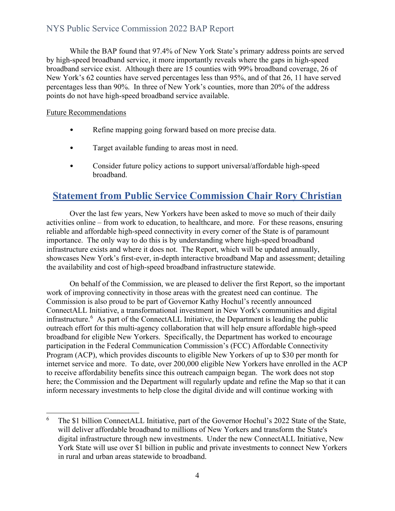While the BAP found that 97.4% of New York State's primary address points are served by high-speed broadband service, it more importantly reveals where the gaps in high-speed broadband service exist. Although there are 15 counties with 99% broadband coverage, 26 of New York's 62 counties have served percentages less than 95%, and of that 26, 11 have served percentages less than 90%. In three of New York's counties, more than 20% of the address points do not have high-speed broadband service available.

#### Future Recommendations

- Refine mapping going forward based on more precise data.
- Target available funding to areas most in need.
- Consider future policy actions to support universal/affordable high-speed broadband.

## <span id="page-3-0"></span>**Statement from Public Service Commission Chair Rory Christian**

Over the last few years, New Yorkers have been asked to move so much of their daily activities online – from work to education, to healthcare, and more. For these reasons, ensuring reliable and affordable high-speed connectivity in every corner of the State is of paramount importance. The only way to do this is by understanding where high-speed broadband infrastructure exists and where it does not. The Report, which will be updated annually, showcases New York's first-ever, in-depth interactive broadband Map and assessment; detailing the availability and cost of high-speed broadband infrastructure statewide.

On behalf of the Commission, we are pleased to deliver the first Report, so the important work of improving connectivity in those areas with the greatest need can continue. The Commission is also proud to be part of Governor Kathy Hochul's recently announced ConnectALL Initiative, a transformational investment in New York's communities and digital infrastructure.<sup>[6](#page-3-1)</sup> As part of the ConnectALL Initiative, the Department is leading the public outreach effort for this multi-agency collaboration that will help ensure affordable high-speed broadband for eligible New Yorkers. Specifically, the Department has worked to encourage participation in the Federal Communication Commission's (FCC) Affordable Connectivity Program (ACP), which provides discounts to eligible New Yorkers of up to \$30 per month for internet service and more. To date, over 200,000 eligible New Yorkers have enrolled in the ACP to receive affordability benefits since this outreach campaign began. The work does not stop here; the Commission and the Department will regularly update and refine the Map so that it can inform necessary investments to help close the digital divide and will continue working with

<span id="page-3-1"></span><sup>6</sup> The \$1 billion ConnectALL Initiative, part of the Governor Hochul's 2022 State of the State, will deliver affordable broadband to millions of New Yorkers and transform the State's digital infrastructure through new investments. Under the new ConnectALL Initiative, New York State will use over \$1 billion in public and private investments to connect New Yorkers in rural and urban areas statewide to broadband.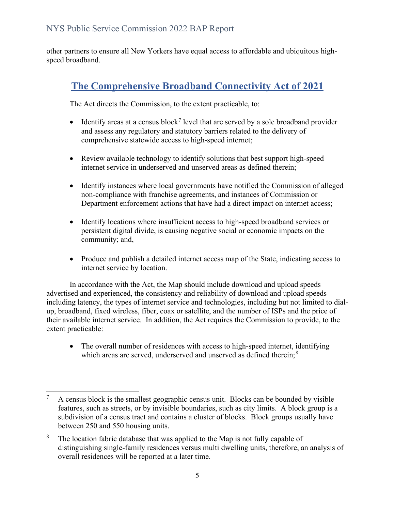other partners to ensure all New Yorkers have equal access to affordable and ubiquitous highspeed broadband.

# <span id="page-4-0"></span>**The Comprehensive Broadband Connectivity Act of 2021**

The Act directs the Commission, to the extent practicable, to:

- Identify areas at a census block<sup>[7](#page-4-1)</sup> level that are served by a sole broadband provider and assess any regulatory and statutory barriers related to the delivery of comprehensive statewide access to high-speed internet;
- Review available technology to identify solutions that best support high-speed internet service in underserved and unserved areas as defined therein;
- Identify instances where local governments have notified the Commission of alleged non-compliance with franchise agreements, and instances of Commission or Department enforcement actions that have had a direct impact on internet access;
- Identify locations where insufficient access to high-speed broadband services or persistent digital divide, is causing negative social or economic impacts on the community; and,
- Produce and publish a detailed internet access map of the State, indicating access to internet service by location.

In accordance with the Act, the Map should include download and upload speeds advertised and experienced, the consistency and reliability of download and upload speeds including latency, the types of internet service and technologies, including but not limited to dialup, broadband, fixed wireless, fiber, coax or satellite, and the number of ISPs and the price of their available internet service. In addition, the Act requires the Commission to provide, to the extent practicable:

• The overall number of residences with access to high-speed internet, identifying which areas are served, underserved and unserved as defined therein;<sup>[8](#page-4-2)</sup>

<span id="page-4-1"></span><sup>7</sup> A census block is the smallest geographic census unit. Blocks can be bounded by visible features, such as streets, or by invisible boundaries, such as city limits. A block group is a subdivision of a census tract and contains a cluster of blocks. Block groups usually have between 250 and 550 housing units.

<span id="page-4-2"></span><sup>8</sup> The location fabric database that was applied to the Map is not fully capable of distinguishing single-family residences versus multi dwelling units, therefore, an analysis of overall residences will be reported at a later time.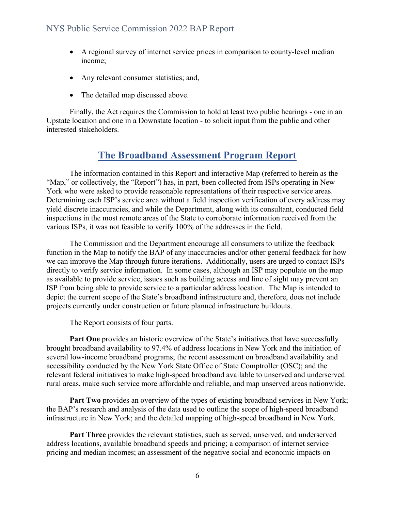- A regional survey of internet service prices in comparison to county-level median income;
- Any relevant consumer statistics; and,
- The detailed map discussed above.

Finally, the Act requires the Commission to hold at least two public hearings - one in an Upstate location and one in a Downstate location - to solicit input from the public and other interested stakeholders.

## **The Broadband Assessment Program Report**

<span id="page-5-0"></span>The information contained in this Report and interactive Map (referred to herein as the "Map," or collectively, the "Report") has, in part, been collected from ISPs operating in New York who were asked to provide reasonable representations of their respective service areas. Determining each ISP's service area without a field inspection verification of every address may yield discrete inaccuracies, and while the Department, along with its consultant, conducted field inspections in the most remote areas of the State to corroborate information received from the various ISPs, it was not feasible to verify 100% of the addresses in the field.

The Commission and the Department encourage all consumers to utilize the feedback function in the Map to notify the BAP of any inaccuracies and/or other general feedback for how we can improve the Map through future iterations. Additionally, users are urged to contact ISPs directly to verify service information. In some cases, although an ISP may populate on the map as available to provide service, issues such as building access and line of sight may prevent an ISP from being able to provide service to a particular address location. The Map is intended to depict the current scope of the State's broadband infrastructure and, therefore, does not include projects currently under construction or future planned infrastructure buildouts.

The Report consists of four parts.

**Part One** provides an historic overview of the State's initiatives that have successfully brought broadband availability to 97.4% of address locations in New York and the initiation of several low-income broadband programs; the recent assessment on broadband availability and accessibility conducted by the New York State Office of State Comptroller (OSC); and the relevant federal initiatives to make high-speed broadband available to unserved and underserved rural areas, make such service more affordable and reliable, and map unserved areas nationwide.

**Part Two** provides an overview of the types of existing broadband services in New York; the BAP's research and analysis of the data used to outline the scope of high-speed broadband infrastructure in New York; and the detailed mapping of high-speed broadband in New York.

**Part Three** provides the relevant statistics, such as served, unserved, and underserved address locations, available broadband speeds and pricing; a comparison of internet service pricing and median incomes; an assessment of the negative social and economic impacts on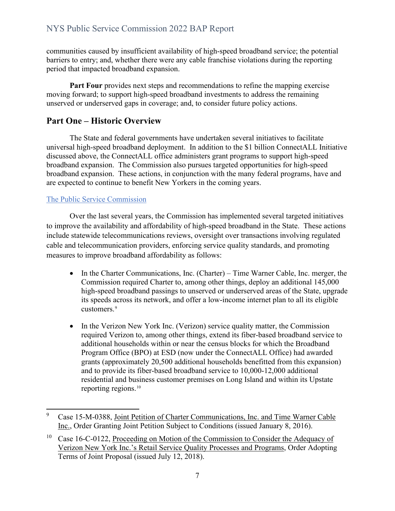communities caused by insufficient availability of high-speed broadband service; the potential barriers to entry; and, whether there were any cable franchise violations during the reporting period that impacted broadband expansion.

Part Four provides next steps and recommendations to refine the mapping exercise moving forward; to support high-speed broadband investments to address the remaining unserved or underserved gaps in coverage; and, to consider future policy actions.

## <span id="page-6-0"></span>**Part One – Historic Overview**

The State and federal governments have undertaken several initiatives to facilitate universal high-speed broadband deployment. In addition to the \$1 billion ConnectALL Initiative discussed above, the ConnectALL office administers grant programs to support high-speed broadband expansion. The Commission also pursues targeted opportunities for high-speed broadband expansion. These actions, in conjunction with the many federal programs, have and are expected to continue to benefit New Yorkers in the coming years.

## <span id="page-6-1"></span>The Public Service Commission

Over the last several years, the Commission has implemented several targeted initiatives to improve the availability and affordability of high-speed broadband in the State. These actions include statewide telecommunications reviews, oversight over transactions involving regulated cable and telecommunication providers, enforcing service quality standards, and promoting measures to improve broadband affordability as follows:

- In the Charter Communications, Inc. (Charter) Time Warner Cable, Inc. merger, the Commission required Charter to, among other things, deploy an additional 145,000 high-speed broadband passings to unserved or underserved areas of the State, upgrade its speeds across its network, and offer a low-income internet plan to all its eligible customers.<sup>[9](#page-6-2)</sup>
- In the Verizon New York Inc. (Verizon) service quality matter, the Commission required Verizon to, among other things, extend its fiber-based broadband service to additional households within or near the census blocks for which the Broadband Program Office (BPO) at ESD (now under the ConnectALL Office) had awarded grants (approximately 20,500 additional households benefitted from this expansion) and to provide its fiber-based broadband service to 10,000-12,000 additional residential and business customer premises on Long Island and within its Upstate reporting regions.<sup>[10](#page-6-3)</sup>

<span id="page-6-2"></span><sup>9</sup> Case 15-M-0388, Joint Petition of Charter Communications, Inc. and Time Warner Cable Inc., Order Granting Joint Petition Subject to Conditions (issued January 8, 2016).

<span id="page-6-3"></span><sup>&</sup>lt;sup>10</sup> Case 16-C-0122, Proceeding on Motion of the Commission to Consider the Adequacy of Verizon New York Inc.'s Retail Service Quality Processes and Programs, Order Adopting Terms of Joint Proposal (issued July 12, 2018).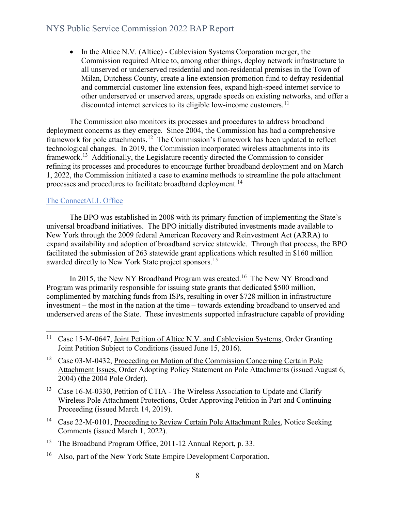• In the Altice N.V. (Altice) - Cablevision Systems Corporation merger, the Commission required Altice to, among other things, deploy network infrastructure to all unserved or underserved residential and non-residential premises in the Town of Milan, Dutchess County, create a line extension promotion fund to defray residential and commercial customer line extension fees, expand high-speed internet service to other underserved or unserved areas, upgrade speeds on existing networks, and offer a discounted internet services to its eligible low-income customers.<sup>11</sup>

The Commission also monitors its processes and procedures to address broadband deployment concerns as they emerge. Since 2004, the Commission has had a comprehensive framework for pole attachments.[12](#page-7-2) The Commission's framework has been updated to reflect technological changes. In 2019, the Commission incorporated wireless attachments into its framework.<sup>[13](#page-7-3)</sup> Additionally, the Legislature recently directed the Commission to consider refining its processes and procedures to encourage further broadband deployment and on March 1, 2022, the Commission initiated a case to examine methods to streamline the pole attachment processes and procedures to facilitate broadband deployment.<sup>[14](#page-7-4)</sup>

#### <span id="page-7-0"></span>The ConnectALL Office

The BPO was established in 2008 with its primary function of implementing the State's universal broadband initiatives. The BPO initially distributed investments made available to New York through the 2009 federal American Recovery and Reinvestment Act (ARRA) to expand availability and adoption of broadband service statewide. Through that process, the BPO facilitated the submission of 263 statewide grant applications which resulted in \$160 million awarded directly to New York State project sponsors.[15](#page-7-5) 

In 2015, the New NY Broadband Program was created.<sup>16</sup> The New NY Broadband Program was primarily responsible for issuing state grants that dedicated \$500 million, complimented by matching funds from ISPs, resulting in over \$728 million in infrastructure investment – the most in the nation at the time – towards extending broadband to unserved and underserved areas of the State. These investments supported infrastructure capable of providing

- <span id="page-7-2"></span><sup>12</sup> Case 03-M-0432, Proceeding on Motion of the Commission Concerning Certain Pole Attachment Issues, Order Adopting Policy Statement on Pole Attachments (issued August 6, 2004) (the 2004 Pole Order).
- <span id="page-7-3"></span><sup>13</sup> Case 16-M-0330, Petition of CTIA - The Wireless Association to Update and Clarify Wireless Pole Attachment Protections, Order Approving Petition in Part and Continuing Proceeding (issued March 14, 2019).
- <span id="page-7-4"></span><sup>14</sup> Case 22-M-0101, Proceeding to Review Certain Pole Attachment Rules, Notice Seeking Comments (issued March 1, 2022).
- <span id="page-7-5"></span><sup>15</sup> The Broadband Program Office, 2011-12 Annual Report, p. 33.
- <span id="page-7-6"></span><sup>16</sup> Also, part of the New York State Empire Development Corporation.

<span id="page-7-1"></span><sup>&</sup>lt;sup>11</sup> Case 15-M-0647, Joint Petition of Altice N.V. and Cablevision Systems, Order Granting Joint Petition Subject to Conditions (issued June 15, 2016).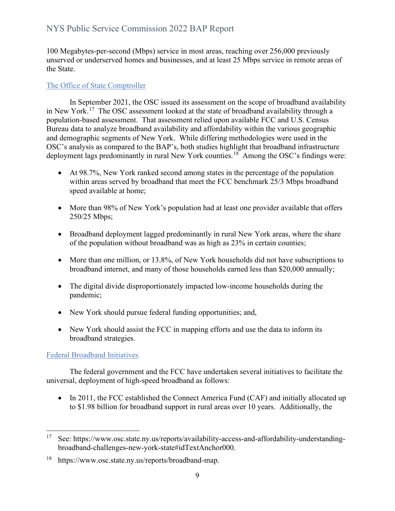100 Megabytes-per-second (Mbps) service in most areas, reaching over 256,000 previously unserved or underserved homes and businesses, and at least 25 Mbps service in remote areas of the State.

#### <span id="page-8-0"></span>The Office of State Comptroller

In September 2021, the OSC issued its assessment on the scope of broadband availability in New York.<sup>[17](#page-8-2)</sup> The OSC assessment looked at the state of broadband availability through a population-based assessment. That assessment relied upon available FCC and U.S. Census Bureau data to analyze broadband availability and affordability within the various geographic and demographic segments of New York. While differing methodologies were used in the OSC's analysis as compared to the BAP's, both studies highlight that broadband infrastructure deployment lags predominantly in rural New York counties.<sup>[18](#page-8-3)</sup> Among the OSC's findings were:

- At 98.7%, New York ranked second among states in the percentage of the population within areas served by broadband that meet the FCC benchmark 25/3 Mbps broadband speed available at home;
- More than 98% of New York's population had at least one provider available that offers 250/25 Mbps;
- Broadband deployment lagged predominantly in rural New York areas, where the share of the population without broadband was as high as 23% in certain counties;
- More than one million, or 13.8%, of New York households did not have subscriptions to broadband internet, and many of those households earned less than \$20,000 annually;
- The digital divide disproportionately impacted low-income households during the pandemic;
- New York should pursue federal funding opportunities; and,
- New York should assist the FCC in mapping efforts and use the data to inform its broadband strategies.

#### <span id="page-8-1"></span>Federal Broadband Initiatives

The federal government and the FCC have undertaken several initiatives to facilitate the universal, deployment of high-speed broadband as follows:

• In 2011, the FCC established the Connect America Fund (CAF) and initially allocated up to \$1.98 billion for broadband support in rural areas over 10 years. Additionally, the

<span id="page-8-2"></span><sup>&</sup>lt;sup>17</sup> See: https://www.osc.state.ny.us/reports/availability-access-and-affordability-understandingbroadband-challenges-new-york-state#idTextAnchor000.

<span id="page-8-3"></span><sup>18</sup> https://www.osc.state.ny.us/reports/broadband-map.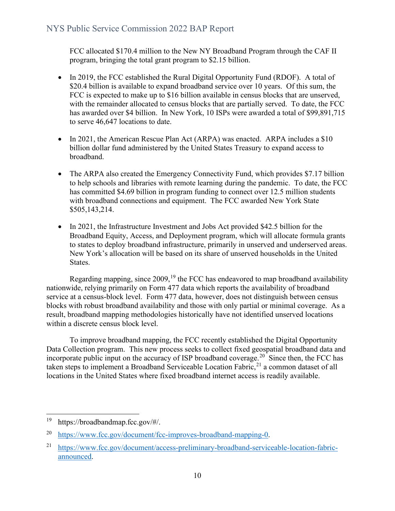FCC allocated \$170.4 million to the New NY Broadband Program through the CAF II program, bringing the total grant program to \$2.15 billion.

- In 2019, the FCC established the Rural Digital Opportunity Fund (RDOF). A total of \$20.4 billion is available to expand broadband service over 10 years. Of this sum, the FCC is expected to make up to \$16 billion available in census blocks that are unserved, with the remainder allocated to census blocks that are partially served. To date, the FCC has awarded over \$4 billion. In New York, 10 ISPs were awarded a total of \$99,891,715 to serve 46,647 locations to date.
- In 2021, the American Rescue Plan Act (ARPA) was enacted. ARPA includes a \$10 billion dollar fund administered by the United States Treasury to expand access to broadband.
- The ARPA also created the Emergency Connectivity Fund, which provides \$7.17 billion to help schools and libraries with remote learning during the pandemic. To date, the FCC has committed \$4.69 billion in program funding to connect over 12.5 million students with broadband connections and equipment. The FCC awarded New York State \$505,143,214.
- In 2021, the Infrastructure Investment and Jobs Act provided \$42.5 billion for the Broadband Equity, Access, and Deployment program, which will allocate formula grants to states to deploy broadband infrastructure, primarily in unserved and underserved areas. New York's allocation will be based on its share of unserved households in the United States.

Regarding mapping, since  $2009$ ,<sup>[19](#page-9-0)</sup> the FCC has endeavored to map broadband availability nationwide, relying primarily on Form 477 data which reports the availability of broadband service at a census-block level. Form 477 data, however, does not distinguish between census blocks with robust broadband availability and those with only partial or minimal coverage. As a result, broadband mapping methodologies historically have not identified unserved locations within a discrete census block level.

To improve broadband mapping, the FCC recently established the Digital Opportunity Data Collection program. This new process seeks to collect fixed geospatial broadband data and incorporate public input on the accuracy of ISP broadband coverage.<sup>20</sup> Since then, the FCC has taken steps to implement a Broadband Serviceable Location Fabric,<sup>[21](#page-9-2)</sup> a common dataset of all locations in the United States where fixed broadband internet access is readily available.

<span id="page-9-0"></span><sup>19</sup> https://broadbandmap.fcc.gov/#/.

<span id="page-9-1"></span><sup>20</sup> [https://www.fcc.gov/document/fcc-improves-broadband-mapping-0.](https://www.fcc.gov/document/fcc-improves-broadband-mapping-0)

<span id="page-9-2"></span><sup>&</sup>lt;sup>21</sup> [https://www.fcc.gov/document/access-preliminary-broadband-serviceable-location-fabric](https://www.fcc.gov/document/access-preliminary-broadband-serviceable-location-fabric-announced)[announced.](https://www.fcc.gov/document/access-preliminary-broadband-serviceable-location-fabric-announced)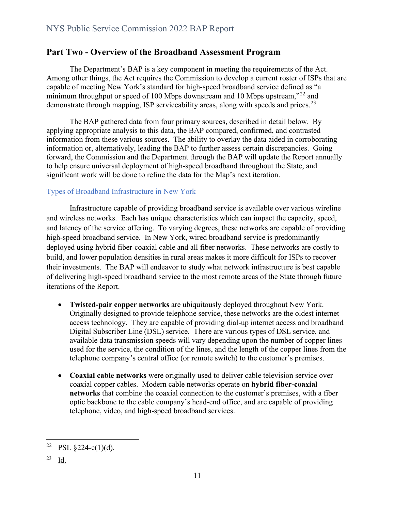## <span id="page-10-0"></span>**Part Two - Overview of the Broadband Assessment Program**

The Department's BAP is a key component in meeting the requirements of the Act. Among other things, the Act requires the Commission to develop a current roster of ISPs that are capable of meeting New York's standard for high-speed broadband service defined as "a minimum throughput or speed of 100 Mbps downstream and 10 Mbps upstream,"<sup>[22](#page-10-2)</sup> and demonstrate through mapping, ISP serviceability areas, along with speeds and prices.<sup>[23](#page-10-3)</sup>

The BAP gathered data from four primary sources, described in detail below. By applying appropriate analysis to this data, the BAP compared, confirmed, and contrasted information from these various sources. The ability to overlay the data aided in corroborating information or, alternatively, leading the BAP to further assess certain discrepancies. Going forward, the Commission and the Department through the BAP will update the Report annually to help ensure universal deployment of high-speed broadband throughout the State, and significant work will be done to refine the data for the Map's next iteration.

#### <span id="page-10-1"></span>Types of Broadband Infrastructure in New York

Infrastructure capable of providing broadband service is available over various wireline and wireless networks. Each has unique characteristics which can impact the capacity, speed, and latency of the service offering. To varying degrees, these networks are capable of providing high-speed broadband service. In New York, wired broadband service is predominantly deployed using hybrid fiber-coaxial cable and all fiber networks. These networks are costly to build, and lower population densities in rural areas makes it more difficult for ISPs to recover their investments. The BAP will endeavor to study what network infrastructure is best capable of delivering high-speed broadband service to the most remote areas of the State through future iterations of the Report.

- **Twisted-pair copper networks** are ubiquitously deployed throughout New York. Originally designed to provide telephone service, these networks are the oldest internet access technology. They are capable of providing dial-up internet access and broadband Digital Subscriber Line (DSL) service. There are various types of DSL service, and available data transmission speeds will vary depending upon the number of copper lines used for the service, the condition of the lines, and the length of the copper lines from the telephone company's central office (or remote switch) to the customer's premises.
- **Coaxial cable networks** were originally used to deliver cable television service over coaxial copper cables. Modern cable networks operate on **hybrid fiber-coaxial networks** that combine the coaxial connection to the customer's premises, with a fiber optic backbone to the cable company's head-end office, and are capable of providing telephone, video, and high-speed broadband services.

<span id="page-10-2"></span><sup>&</sup>lt;sup>22</sup> PSL  $§224-c(1)(d)$ .

<span id="page-10-3"></span><sup>23</sup> Id.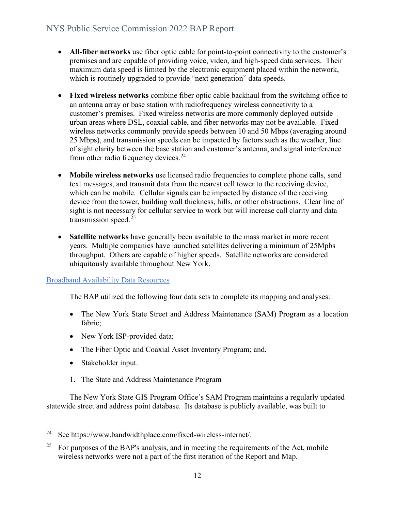- **All-fiber networks** use fiber optic cable for point-to-point connectivity to the customer's premises and are capable of providing voice, video, and high-speed data services. Their maximum data speed is limited by the electronic equipment placed within the network, which is routinely upgraded to provide "next generation" data speeds.
- **Fixed wireless networks** combine fiber optic cable backhaul from the switching office to an antenna array or base station with radiofrequency wireless connectivity to a customer's premises. Fixed wireless networks are more commonly deployed outside urban areas where DSL, coaxial cable, and fiber networks may not be available. Fixed wireless networks commonly provide speeds between 10 and 50 Mbps (averaging around 25 Mbps), and transmission speeds can be impacted by factors such as the weather, line of sight clarity between the base station and customer's antenna, and signal interference from other radio frequency devices.<sup>[24](#page-11-1)</sup>
- **Mobile wireless networks** use licensed radio frequencies to complete phone calls, send text messages, and transmit data from the nearest cell tower to the receiving device, which can be mobile. Cellular signals can be impacted by distance of the receiving device from the tower, building wall thickness, hills, or other obstructions. Clear line of sight is not necessary for cellular service to work but will increase call clarity and data transmission speed. $25$
- **Satellite networks** have generally been available to the mass market in more recent years. Multiple companies have launched satellites delivering a minimum of 25Mpbs throughput. Others are capable of higher speeds. Satellite networks are considered ubiquitously available throughout New York.

#### <span id="page-11-0"></span>Broadband Availability Data Resources

The BAP utilized the following four data sets to complete its mapping and analyses:

- The New York State Street and Address Maintenance (SAM) Program as a location fabric;
- New York ISP-provided data;
- The Fiber Optic and Coaxial Asset Inventory Program; and,
- Stakeholder input.
- 1. The State and Address Maintenance Program

The New York State GIS Program Office's SAM Program maintains a regularly updated statewide street and address point database. Its database is publicly available, was built to

<span id="page-11-1"></span><sup>24</sup> See https://www.bandwidthplace.com/fixed-wireless-internet/.

<span id="page-11-2"></span><sup>&</sup>lt;sup>25</sup> For purposes of the BAP's analysis, and in meeting the requirements of the Act, mobile wireless networks were not a part of the first iteration of the Report and Map.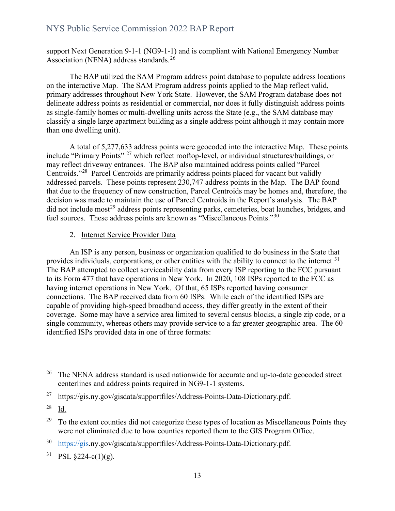support Next Generation 9-1-1 (NG9-1-1) and is compliant with National Emergency Number Association (NENA) address standards.<sup>[26](#page-12-0)</sup>

The BAP utilized the SAM Program address point database to populate address locations on the interactive Map. The SAM Program address points applied to the Map reflect valid, primary addresses throughout New York State. However, the SAM Program database does not delineate address points as residential or commercial, nor does it fully distinguish address points as single-family homes or multi-dwelling units across the State (e.g., the SAM database may classify a single large apartment building as a single address point although it may contain more than one dwelling unit).

A total of 5,277,633 address points were geocoded into the interactive Map. These points include "Primary Points" [27](#page-12-1) which reflect rooftop-level, or individual structures/buildings, or may reflect driveway entrances. The BAP also maintained address points called "Parcel Centroids."[28](#page-12-2) Parcel Centroids are primarily address points placed for vacant but validly addressed parcels. These points represent 230,747 address points in the Map. The BAP found that due to the frequency of new construction, Parcel Centroids may be homes and, therefore, the decision was made to maintain the use of Parcel Centroids in the Report's analysis. The BAP did not include most<sup>[29](#page-12-3)</sup> address points representing parks, cemeteries, boat launches, bridges, and fuel sources. These address points are known as "Miscellaneous Points."<sup>[30](#page-12-4)</sup>

#### 2. Internet Service Provider Data

An ISP is any person, business or organization qualified to do business in the State that provides individuals, corporations, or other entities with the ability to connect to the internet.<sup>[31](#page-12-5)</sup> The BAP attempted to collect serviceability data from every ISP reporting to the FCC pursuant to its Form 477 that have operations in New York. In 2020, 108 ISPs reported to the FCC as having internet operations in New York. Of that, 65 ISPs reported having consumer connections. The BAP received data from 60 ISPs. While each of the identified ISPs are capable of providing high-speed broadband access, they differ greatly in the extent of their coverage. Some may have a service area limited to several census blocks, a single zip code, or a single community, whereas others may provide service to a far greater geographic area. The 60 identified ISPs provided data in one of three formats:

<span id="page-12-4"></span>30 [https://gis.](https://gis/)ny.gov/gisdata/supportfiles/Address-Points-Data-Dictionary.pdf.

<span id="page-12-0"></span><sup>&</sup>lt;sup>26</sup> The NENA address standard is used nationwide for accurate and up-to-date geocoded street centerlines and address points required in NG9-1-1 systems.

<span id="page-12-1"></span><sup>27</sup> https://gis.ny.gov/gisdata/supportfiles/Address-Points-Data-Dictionary.pdf.

<span id="page-12-2"></span><sup>28</sup> Id.

<span id="page-12-3"></span> $29\degree$  To the extent counties did not categorize these types of location as Miscellaneous Points they were not eliminated due to how counties reported them to the GIS Program Office.

<span id="page-12-5"></span> $31$  PSL  $$224-c(1)(g)$ .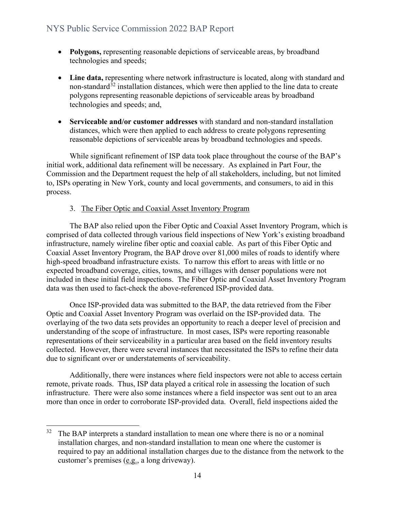- **Polygons,** representing reasonable depictions of serviceable areas, by broadband technologies and speeds;
- **Line data,** representing where network infrastructure is located, along with standard and non-standard<sup>[32](#page-13-0)</sup> installation distances, which were then applied to the line data to create polygons representing reasonable depictions of serviceable areas by broadband technologies and speeds; and,
- **Serviceable and/or customer addresses** with standard and non-standard installation distances, which were then applied to each address to create polygons representing reasonable depictions of serviceable areas by broadband technologies and speeds.

While significant refinement of ISP data took place throughout the course of the BAP's initial work, additional data refinement will be necessary. As explained in Part Four, the Commission and the Department request the help of all stakeholders, including, but not limited to, ISPs operating in New York, county and local governments, and consumers, to aid in this process.

#### 3. The Fiber Optic and Coaxial Asset Inventory Program

The BAP also relied upon the Fiber Optic and Coaxial Asset Inventory Program, which is comprised of data collected through various field inspections of New York's existing broadband infrastructure, namely wireline fiber optic and coaxial cable. As part of this Fiber Optic and Coaxial Asset Inventory Program, the BAP drove over 81,000 miles of roads to identify where high-speed broadband infrastructure exists. To narrow this effort to areas with little or no expected broadband coverage, cities, towns, and villages with denser populations were not included in these initial field inspections. The Fiber Optic and Coaxial Asset Inventory Program data was then used to fact-check the above-referenced ISP-provided data.

Once ISP-provided data was submitted to the BAP, the data retrieved from the Fiber Optic and Coaxial Asset Inventory Program was overlaid on the ISP-provided data. The overlaying of the two data sets provides an opportunity to reach a deeper level of precision and understanding of the scope of infrastructure. In most cases, ISPs were reporting reasonable representations of their serviceability in a particular area based on the field inventory results collected. However, there were several instances that necessitated the ISPs to refine their data due to significant over or understatements of serviceability.

Additionally, there were instances where field inspectors were not able to access certain remote, private roads. Thus, ISP data played a critical role in assessing the location of such infrastructure. There were also some instances where a field inspector was sent out to an area more than once in order to corroborate ISP-provided data. Overall, field inspections aided the

<span id="page-13-0"></span> $32$  The BAP interprets a standard installation to mean one where there is no or a nominal installation charges, and non-standard installation to mean one where the customer is required to pay an additional installation charges due to the distance from the network to the customer's premises (e.g., a long driveway).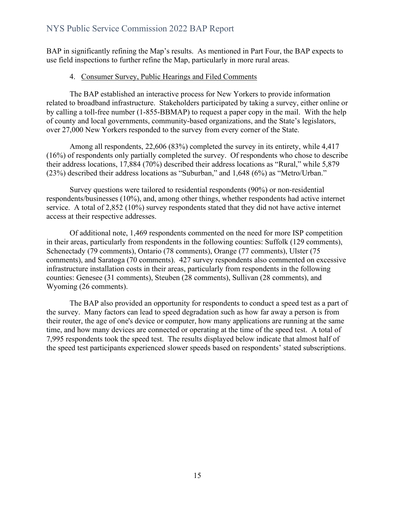BAP in significantly refining the Map's results. As mentioned in Part Four, the BAP expects to use field inspections to further refine the Map, particularly in more rural areas.

#### 4. Consumer Survey, Public Hearings and Filed Comments

The BAP established an interactive process for New Yorkers to provide information related to broadband infrastructure. Stakeholders participated by taking a survey, either online or by calling a toll-free number (1-855-BBMAP) to request a paper copy in the mail. With the help of county and local governments, community-based organizations, and the State's legislators, over 27,000 New Yorkers responded to the survey from every corner of the State.

Among all respondents, 22,606 (83%) completed the survey in its entirety, while 4,417 (16%) of respondents only partially completed the survey. Of respondents who chose to describe their address locations, 17,884 (70%) described their address locations as "Rural," while 5,879 (23%) described their address locations as "Suburban," and 1,648 (6%) as "Metro/Urban."

Survey questions were tailored to residential respondents (90%) or non-residential respondents/businesses (10%), and, among other things, whether respondents had active internet service. A total of 2,852 (10%) survey respondents stated that they did not have active internet access at their respective addresses.

Of additional note, 1,469 respondents commented on the need for more ISP competition in their areas, particularly from respondents in the following counties: Suffolk (129 comments), Schenectady (79 comments), Ontario (78 comments), Orange (77 comments), Ulster (75 comments), and Saratoga (70 comments). 427 survey respondents also commented on excessive infrastructure installation costs in their areas, particularly from respondents in the following counties: Genesee (31 comments), Steuben (28 comments), Sullivan (28 comments), and Wyoming (26 comments).

The BAP also provided an opportunity for respondents to conduct a speed test as a part of the survey. Many factors can lead to speed degradation such as how far away a person is from their router, the age of one's device or computer, how many applications are running at the same time, and how many devices are connected or operating at the time of the speed test. A total of 7,995 respondents took the speed test. The results displayed below indicate that almost half of the speed test participants experienced slower speeds based on respondents' stated subscriptions.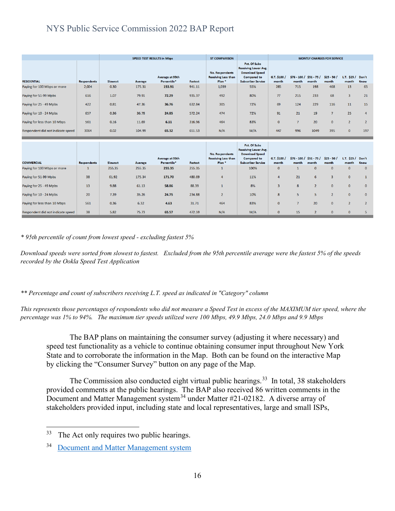| <b>SPEED TEST RESULTS in Mbps</b>                |                    |                   | <b>ST COMPARISON</b> |                                |                          |                                                                           |                                                                                                                         | <b>MONTLY CHARGES FOR SERVICE</b> |                       |                                   |                       |                        |                      |
|--------------------------------------------------|--------------------|-------------------|----------------------|--------------------------------|--------------------------|---------------------------------------------------------------------------|-------------------------------------------------------------------------------------------------------------------------|-----------------------------------|-----------------------|-----------------------------------|-----------------------|------------------------|----------------------|
| <b>RESIDENTIAL</b>                               | <b>Respondents</b> | Slowest           | <b>Average</b>       | Average at 95th<br>Percentile* | Fastest                  | <b>No. Respondents</b><br><b>Receiving Less than</b><br>Plan <sup>*</sup> | Pct. Of Subs<br><b>Receiving Lower Avg.</b><br><b>Download Speed</b><br><b>Compared to</b><br><b>Subscriber Service</b> | G.T. \$100 /<br>month             | month                 | $$76 - 100 / $51 - 75 /$<br>month | $$25 - 50/$<br>month  | $L.T.$ \$25 /<br>month | Don't<br>Know        |
| Paying for 100 Mbps or more                      | 2,004              | 0.30              | 175.31               | 153.91                         | 941.11                   | 1,039                                                                     | 55%                                                                                                                     | 285                               | 715                   | 198                               | 468                   | 13                     | 65                   |
| Paying for 51-99 Mpbs                            | 616                | 1.07              | 79.91                | 72.29                          | 935.37                   | 492                                                                       | 80%                                                                                                                     | 77                                | 215                   | 233                               | 68                    | $\overline{3}$         | 21                   |
| Paying for 25 - 49 Mpbs                          | 422                | 0.81              | 47.36                | 36.76                          | 632.84                   | 305                                                                       | 72%                                                                                                                     | 69                                | 124                   | 229                               | 116                   | 11                     | 15                   |
| Paying for 10 - 24 Mpbs                          | 657                | 0.36              | 36.78                | 24.85                          | 572.24                   | 474                                                                       | 72%                                                                                                                     | 91                                | 21                    | 19                                | $7\overline{ }$       | 25                     | 4                    |
| Paying for less than 10 Mbps                     | 561                | 0.16              | 11.69                | 6.11                           | 316.96                   | 464                                                                       | 83%                                                                                                                     | $\mathbf{0}$                      | $\overline{7}$        | 20                                | $\mathbf{0}$          | $\overline{2}$         | $\overline{2}$       |
| Respondent did not indicate speed                | 3064               | 0.02              | 104.99               | 65.32                          | 651.53                   | N/A                                                                       | M/A                                                                                                                     | 447                               | 996                   | 1049                              | 395                   | $\mathbf{0}$           | 197                  |
|                                                  |                    |                   |                      |                                |                          |                                                                           |                                                                                                                         |                                   |                       |                                   |                       |                        |                      |
|                                                  |                    |                   |                      |                                |                          |                                                                           |                                                                                                                         |                                   |                       |                                   |                       |                        |                      |
|                                                  |                    |                   |                      | Average at 95th                |                          | No. Respondents<br><b>Receiving Less than</b>                             | Pct. Of Subs<br><b>Receiving Lower Avg.</b><br><b>Download Speed</b><br><b>Compared to</b>                              | G.T. \$100 /                      |                       | $$76 - 100 / $51 - 75 /$          | $$25 - 50/$           | $L.T.$ \$25 /          | Don't                |
| <b>COMMERCIAL</b><br>Paying for 100 Mbps or more | Respondents<br>-1  | Slowest<br>255.35 | Average<br>255.35    | Percentile*<br>255.35          | <b>Fastest</b><br>255.35 | Plan <sup>*</sup><br>$\mathbf{1}$                                         | <b>Subscriber Service</b><br>100%                                                                                       | month<br>$\Omega$                 | month<br>$\mathbf{1}$ | month<br>$\mathbf{0}$             | month<br>$\mathbf{0}$ | month<br>$\Omega$      | Know<br>$\mathbf{0}$ |
| Paying for 51-99 Mpbs                            | 38                 | 61.92             | 175.34               | 171.70                         | 480.69                   | $\overline{4}$                                                            | 11%                                                                                                                     | 4                                 | 21                    | 6                                 | $\overline{3}$        | $\Omega$               | $\mathbf{1}$         |
| Paying for 25 - 49 Mpbs                          | 13                 | 9.88              | 61.13                | 58.86                          | 88.39                    | $\mathbf{1}$                                                              | 8%                                                                                                                      | 3                                 | 8                     | $\overline{2}$                    | $\mathbf{0}$          | $\mathbf{0}$           | $\mathbf{0}$         |
| Paying for 10 - 24 Mpbs                          | 20                 | 7.39              | 35.26                | 24.75                          | 234.88                   | $\overline{2}$                                                            | 10%                                                                                                                     | 8                                 | 5                     | 5                                 | $\overline{2}$        | $\mathbf{0}$           | $\mathbf{0}$         |
| Paying for less than 10 Mbps                     | 561                | 0.36              | 6.32                 | 4.63                           | 31.71                    | 464                                                                       | 83%                                                                                                                     | $\mathbf{0}$                      | $\overline{7}$        | 20                                | $\mathbf{0}$          | $\overline{2}$         | $\overline{2}$       |

*\* 95th percentile of count from lowest speed - excluding fastest 5%*

*Download speeds were sorted from slowest to fastest. Excluded from the 95th percentile average were the fastest 5% of the speeds recorded by the Ookla Speed Test Application*

*\*\* Percentage and count of subscribers receiving L.T. speed as indicated in "Category" column*

*This represents those percentages of respondents who did not measure a Speed Test in excess of the MAXIMUM tier speed, where the percentage was 1% to 94%. The maximum tier speeds utilized were 100 Mbps, 49.9 Mbps, 24.0 Mbps and 9.9 Mbps*

The BAP plans on maintaining the consumer survey (adjusting it where necessary) and speed test functionality as a vehicle to continue obtaining consumer input throughout New York State and to corroborate the information in the Map. Both can be found on the interactive Map by clicking the "Consumer Survey" button on any page of the Map.

The Commission also conducted eight virtual public hearings.<sup>33</sup> In total, 38 stakeholders provided comments at the public hearings. The BAP also received 86 written comments in the Document and Matter Management system<sup>[34](#page-15-1)</sup> under Matter #21-02182. A diverse array of stakeholders provided input, including state and local representatives, large and small ISPs,

<span id="page-15-0"></span><sup>&</sup>lt;sup>33</sup> The Act only requires two public hearings.

<span id="page-15-1"></span><sup>34</sup> [Document and Matter Management system](https://www3.dps.ny.gov/W/PSCWeb.nsf/All/FCFC9542CC5BE76085257FE300543D5E?OpenDocument)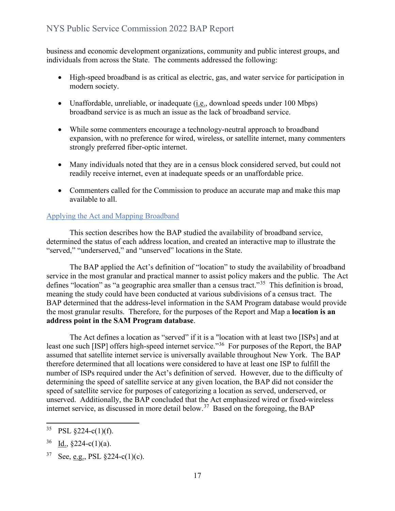business and economic development organizations, community and public interest groups, and individuals from across the State. The comments addressed the following:

- High-speed broadband is as critical as electric, gas, and water service for participation in modern society.
- Unaffordable, unreliable, or inadequate (i.e., download speeds under 100 Mbps) broadband service is as much an issue as the lack of broadband service.
- While some commenters encourage a technology-neutral approach to broadband expansion, with no preference for wired, wireless, or satellite internet, many commenters strongly preferred fiber-optic internet.
- Many individuals noted that they are in a census block considered served, but could not readily receive internet, even at inadequate speeds or an unaffordable price.
- Commenters called for the Commission to produce an accurate map and make this map available to all.

#### <span id="page-16-0"></span>Applying the Act and Mapping Broadband

This section describes how the BAP studied the availability of broadband service, determined the status of each address location, and created an interactive map to illustrate the "served," "underserved," and "unserved" locations in the State.

The BAP applied the Act's definition of "location" to study the availability of broadband service in the most granular and practical manner to assist policy makers and the public. The Act defines "location" as "a geographic area smaller than a census tract."<sup>35</sup> This definition is broad, meaning the study could have been conducted at various subdivisions of a census tract. The BAP determined that the address-level information in the SAM Program database would provide the most granular results. Therefore, for the purposes of the Report and Map a **location is an address point in the SAM Program database**.

The Act defines a location as "served" if it is a "location with at least two [ISPs] and at least one such [ISP] offers high-speed internet service."<sup>36</sup> For purposes of the Report, the BAP assumed that satellite internet service is universally available throughout New York. The BAP therefore determined that all locations were considered to have at least one ISP to fulfill the number of ISPs required under the Act's definition of served. However, due to the difficulty of determining the speed of satellite service at any given location, the BAP did not consider the speed of satellite service for purposes of categorizing a location as served, underserved, or unserved. Additionally, the BAP concluded that the Act emphasized wired or fixed-wireless internet service, as discussed in more detail below.<sup>[37](#page-16-3)</sup> Based on the foregoing, the BAP

<span id="page-16-1"></span><sup>35</sup> PSL  $§224-c(1)(f)$ .

<span id="page-16-2"></span> $36$  Id., §224-c(1)(a).

<span id="page-16-3"></span> $37$  See, e.g., PSL  $\S224-c(1)(c)$ .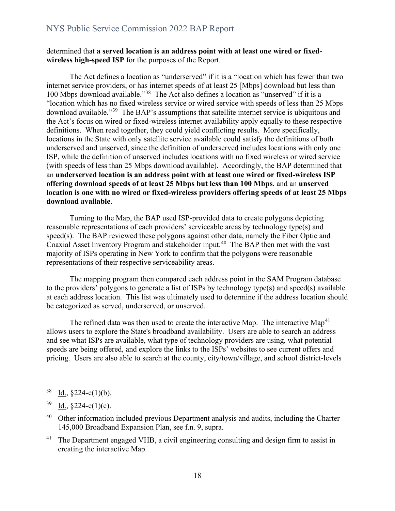#### determined that **a served location is an address point with at least one wired or fixedwireless high-speed ISP** for the purposes of the Report.

The Act defines a location as "underserved" if it is a "location which has fewer than two internet service providers, or has internet speeds of at least 25 [Mbps] download but less than 100 Mbps download available."[38](#page-17-0) The Act also defines a location as "unserved" if it is a "location which has no fixed wireless service or wired service with speeds of less than 25 Mbps download available."<sup>39</sup> The BAP's assumptions that satellite internet service is ubiquitous and the Act's focus on wired or fixed-wireless internet availability apply equally to these respective definitions. When read together, they could yield conflicting results. More specifically, locations in the State with only satellite service available could satisfy the definitions of both underserved and unserved, since the definition of underserved includes locations with only one ISP, while the definition of unserved includes locations with no fixed wireless or wired service (with speeds of less than 25 Mbps download available). Accordingly, the BAP determined that an **underserved location is an address point with at least one wired or fixed-wireless ISP offering download speeds of at least 25 Mbps but less than 100 Mbps**, and an **unserved location is one with no wired or fixed-wireless providers offering speeds of at least 25 Mbps download available**.

Turning to the Map, the BAP used ISP-provided data to create polygons depicting reasonable representations of each providers' serviceable areas by technology type(s) and speed(s). The BAP reviewed these polygons against other data, namely the Fiber Optic and Coaxial Asset Inventory Program and stakeholder input.<sup>[40](#page-17-2)</sup> The BAP then met with the vast majority of ISPs operating in New York to confirm that the polygons were reasonable representations of their respective serviceability areas.

The mapping program then compared each address point in the SAM Program database to the providers' polygons to generate a list of ISPs by technology type(s) and speed(s) available at each address location. This list was ultimately used to determine if the address location should be categorized as served, underserved, or unserved.

The refined data was then used to create the interactive Map. The interactive Map<sup>[41](#page-17-3)</sup> allows users to explore the State's broadband availability. Users are able to search an address and see what ISPs are available, what type of technology providers are using, what potential speeds are being offered, and explore the links to the ISPs' websites to see current offers and pricing. Users are also able to search at the county, city/town/village, and school district-levels

<span id="page-17-0"></span> $38$  Id.,  $\S224-c(1)(b)$ .

<span id="page-17-1"></span> $39$  Id.,  $\S 224-c(1)(c)$ .

<span id="page-17-2"></span><sup>&</sup>lt;sup>40</sup> Other information included previous Department analysis and audits, including the Charter 145,000 Broadband Expansion Plan, see f.n. 9, supra.

<span id="page-17-3"></span><sup>&</sup>lt;sup>41</sup> The Department engaged VHB, a civil engineering consulting and design firm to assist in creating the interactive Map.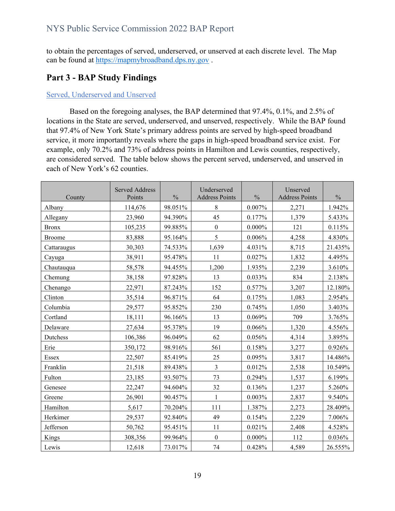to obtain the percentages of served, underserved, or unserved at each discrete level. The Map can be found at [https://mapmybroadband.dps.ny.gov](https://gcc02.safelinks.protection.outlook.com/?url=https%3A%2F%2Fmapmybroadband.dps.ny.gov%2F&data=05%7C01%7CDebra.LaBelle%40dps.ny.gov%7Caf933ad35f0c43d5439508da49462058%7Cf46cb8ea79004d108ceb80e8c1c81ee7%7C0%7C0%7C637902862778384098%7CUnknown%7CTWFpbGZsb3d8eyJWIjoiMC4wLjAwMDAiLCJQIjoiV2luMzIiLCJBTiI6Ik1haWwiLCJXVCI6Mn0%3D%7C3000%7C%7C%7C&sdata=Bc3Kto0ygs3abRJSGrImJx9jWkJndGJRAWl6Nf%2Be1%2BA%3D&reserved=0) .

## <span id="page-18-0"></span>**Part 3 - BAP Study Findings**

#### <span id="page-18-1"></span>Served, Underserved and Unserved

Based on the foregoing analyses, the BAP determined that 97.4%, 0.1%, and 2.5% of locations in the State are served, underserved, and unserved, respectively. While the BAP found that 97.4% of New York State's primary address points are served by high-speed broadband service, it more importantly reveals where the gaps in high-speed broadband service exist. For example, only 70.2% and 73% of address points in Hamilton and Lewis counties, respectively, are considered served. The table below shows the percent served, underserved, and unserved in each of New York's 62 counties.

| County       | <b>Served Address</b><br>Points | $\frac{0}{0}$ | Underserved<br><b>Address Points</b> | $\frac{0}{0}$ | Unserved<br><b>Address Points</b> | $\frac{0}{0}$ |
|--------------|---------------------------------|---------------|--------------------------------------|---------------|-----------------------------------|---------------|
| Albany       | 114,676                         | 98.051%       | 8                                    | 0.007%        | 2,271                             | 1.942%        |
| Allegany     | 23,960                          | 94.390%       | 45                                   | 0.177%        | 1,379                             | 5.433%        |
| <b>Bronx</b> | 105,235                         | 99.885%       | $\boldsymbol{0}$                     | $0.000\%$     | 121                               | 0.115%        |
| Broome       | 83,888                          | 95.164%       | 5                                    | 0.006%        | 4,258                             | 4.830%        |
| Cattaraugus  | 30,303                          | 74.533%       | 1,639                                | 4.031%        | 8,715                             | 21.435%       |
| Cayuga       | 38,911                          | 95.478%       | 11                                   | 0.027%        | 1,832                             | 4.495%        |
| Chautauqua   | 58,578                          | 94.455%       | 1,200                                | 1.935%        | 2,239                             | 3.610%        |
| Chemung      | 38,158                          | 97.828%       | 13                                   | 0.033%        | 834                               | 2.138%        |
| Chenango     | 22,971                          | 87.243%       | 152                                  | 0.577%        | 3,207                             | 12.180%       |
| Clinton      | 35,514                          | 96.871%       | 64                                   | 0.175%        | 1,083                             | 2.954%        |
| Columbia     | 29,577                          | 95.852%       | 230                                  | 0.745%        | 1,050                             | 3.403%        |
| Cortland     | 18,111                          | 96.166%       | 13                                   | 0.069%        | 709                               | 3.765%        |
| Delaware     | 27,634                          | 95.378%       | 19                                   | 0.066%        | 1,320                             | 4.556%        |
| Dutchess     | 106,386                         | 96.049%       | 62                                   | 0.056%        | 4,314                             | 3.895%        |
| Erie         | 350,172                         | 98.916%       | 561                                  | 0.158%        | 3,277                             | 0.926%        |
| Essex        | 22,507                          | 85.419%       | 25                                   | 0.095%        | 3,817                             | 14.486%       |
| Franklin     | 21,518                          | 89.438%       | $\overline{3}$                       | 0.012%        | 2,538                             | 10.549%       |
| Fulton       | 23,185                          | 93.507%       | 73                                   | 0.294%        | 1,537                             | 6.199%        |
| Genesee      | 22,247                          | 94.604%       | 32                                   | 0.136%        | 1,237                             | 5.260%        |
| Greene       | 26,901                          | 90.457%       | $\mathbf{1}$                         | 0.003%        | 2,837                             | 9.540%        |
| Hamilton     | 5,617                           | 70.204%       | 111                                  | 1.387%        | 2,273                             | 28.409%       |
| Herkimer     | 29,537                          | 92.840%       | 49                                   | 0.154%        | 2,229                             | 7.006%        |
| Jefferson    | 50,762                          | 95.451%       | 11                                   | 0.021%        | 2,408                             | 4.528%        |
| Kings        | 308,356                         | 99.964%       | $\mathbf{0}$                         | $0.000\%$     | 112                               | 0.036%        |
| Lewis        | 12,618                          | 73.017%       | 74                                   | 0.428%        | 4,589                             | 26.555%       |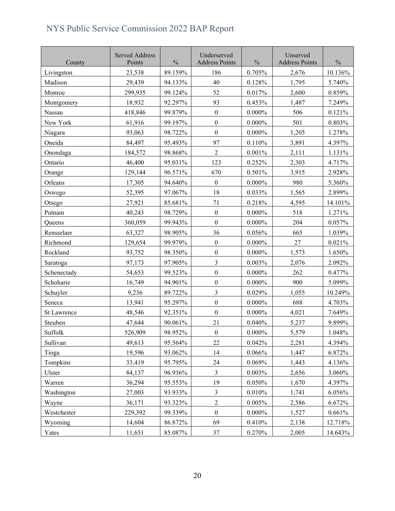| County      | <b>Served Address</b><br>Points | $\frac{0}{0}$ | Underserved<br><b>Address Points</b> | $\frac{0}{0}$ | Unserved<br><b>Address Points</b> | $\frac{0}{0}$ |
|-------------|---------------------------------|---------------|--------------------------------------|---------------|-----------------------------------|---------------|
| Livingston  | 23,538                          | 89.159%       | 186                                  | 0.705%        | 2,676                             | 10.136%       |
| Madison     | 29,439                          | 94.133%       | 40                                   | 0.128%        | 1,795                             | 5.740%        |
| Monroe      | 299,935                         | 99.124%       | 52                                   | 0.017%        | 2,600                             | 0.859%        |
| Montgomery  | 18,932                          | 92.297%       | 93                                   | 0.453%        | 1,487                             | 7.249%        |
| Nassau      | 418,846                         | 99.879%       | $\boldsymbol{0}$                     | $0.000\%$     | 506                               | 0.121%        |
| New York    | 61,916                          | 99.197%       | $\boldsymbol{0}$                     | $0.000\%$     | 501                               | 0.803%        |
| Niagara     | 93,063                          | 98.722%       | $\boldsymbol{0}$                     | $0.000\%$     | 1,205                             | 1.278%        |
| Oneida      | 84,497                          | 95.493%       | 97                                   | 0.110%        | 3,891                             | 4.397%        |
| Onondaga    | 184,572                         | 98.868%       | $\overline{2}$                       | 0.001%        | 2,111                             | 1.131%        |
| Ontario     | 46,400                          | 95.031%       | 123                                  | 0.252%        | 2,303                             | 4.717%        |
| Orange      | 129,144                         | 96.571%       | 670                                  | 0.501%        | 3,915                             | 2.928%        |
| Orleans     | 17,305                          | 94.640%       | $\boldsymbol{0}$                     | $0.000\%$     | 980                               | 5.360%        |
| Oswego      | 52,395                          | 97.067%       | 18                                   | 0.033%        | 1,565                             | 2.899%        |
| Otsego      | 27,921                          | 85.681%       | 71                                   | 0.218%        | 4,595                             | 14.101%       |
| Putnam      | 40,243                          | 98.729%       | $\boldsymbol{0}$                     | $0.000\%$     | 518                               | 1.271%        |
| Queens      | 360,059                         | 99.943%       | $\boldsymbol{0}$                     | $0.000\%$     | 204                               | 0.057%        |
| Rensselaer  | 63,327                          | 98.905%       | 36                                   | 0.056%        | 665                               | 1.039%        |
| Richmond    | 129,654                         | 99.979%       | $\boldsymbol{0}$                     | $0.000\%$     | 27                                | 0.021%        |
| Rockland    | 93,752                          | 98.350%       | $\boldsymbol{0}$                     | $0.000\%$     | 1,573                             | 1.650%        |
| Saratoga    | 97,173                          | 97.905%       | 3                                    | 0.003%        | 2,076                             | 2.092%        |
| Schenectady | 54,653                          | 99.523%       | $\boldsymbol{0}$                     | $0.000\%$     | 262                               | 0.477%        |
| Schoharie   | 16,749                          | 94.901%       | $\boldsymbol{0}$                     | $0.000\%$     | 900                               | 5.099%        |
| Schuyler    | 9,236                           | 89.722%       | $\overline{\mathbf{3}}$              | 0.029%        | 1,055                             | 10.249%       |
| Seneca      | 13,941                          | 95.297%       | $\boldsymbol{0}$                     | $0.000\%$     | 688                               | 4.703%        |
| St Lawrence | 48,546                          | 92.351%       | $\boldsymbol{0}$                     | $0.000\%$     | 4,021                             | 7.649%        |
| Steuben     | 47,644                          | 90.061%       | 21                                   | 0.040%        | 5,237                             | 9.899%        |
| Suffolk     | 526,909                         | 98.952%       | $\boldsymbol{0}$                     | $0.000\%$     | 5,579                             | 1.048%        |
| Sullivan    | 49,613                          | 95.564%       | 22                                   | 0.042%        | 2,281                             | 4.394%        |
| Tioga       | 19,596                          | 93.062%       | 14                                   | 0.066%        | 1,447                             | 6.872%        |
| Tompkins    | 33,419                          | 95.795%       | 24                                   | 0.069%        | 1,443                             | 4.136%        |
| Ulster      | 84,137                          | 96.936%       | $\mathfrak{Z}$                       | 0.003%        | 2,656                             | 3.060%        |
| Warren      | 36,294                          | 95.553%       | 19                                   | 0.050%        | 1,670                             | 4.397%        |
| Washington  | 27,003                          | 93.933%       | $\mathfrak{Z}$                       | 0.010%        | 1,741                             | 6.056%        |
| Wayne       | 36,171                          | 93.323%       | $\sqrt{2}$                           | 0.005%        | 2,586                             | 6.672%        |
| Westchester | 229,392                         | 99.339%       | $\boldsymbol{0}$                     | $0.000\%$     | 1,527                             | 0.661%        |
| Wyoming     | 14,604                          | 86.872%       | 69                                   | 0.410%        | 2,138                             | 12.718%       |
| Yates       | 11,651                          | 85.087%       | $37\,$                               | 0.270%        | 2,005                             | 14.643%       |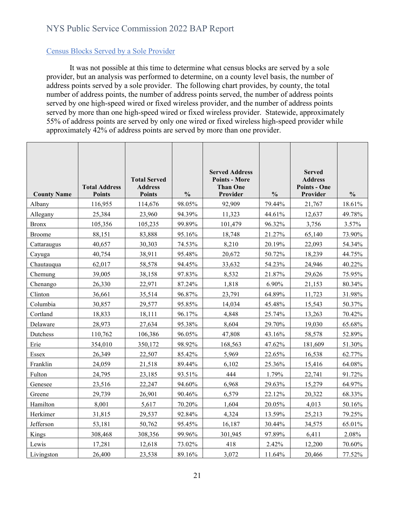#### <span id="page-20-0"></span>Census Blocks Served by a Sole Provider

It was not possible at this time to determine what census blocks are served by a sole provider, but an analysis was performed to determine, on a county level basis, the number of address points served by a sole provider. The following chart provides, by county, the total number of address points, the number of address points served, the number of address points served by one high-speed wired or fixed wireless provider, and the number of address points served by more than one high-speed wired or fixed wireless provider. Statewide, approximately 55% of address points are served by only one wired or fixed wireless high-speed provider while approximately 42% of address points are served by more than one provider.

|                    |                      |                                       |               | <b>Served Address</b>                   |               | <b>Served</b>                         |               |
|--------------------|----------------------|---------------------------------------|---------------|-----------------------------------------|---------------|---------------------------------------|---------------|
|                    | <b>Total Address</b> | <b>Total Served</b><br><b>Address</b> |               | <b>Points - More</b><br><b>Than One</b> |               | <b>Address</b><br><b>Points - One</b> |               |
| <b>County Name</b> | <b>Points</b>        | <b>Points</b>                         | $\frac{0}{0}$ | Provider                                | $\frac{0}{0}$ | Provider                              | $\frac{0}{0}$ |
| Albany             | 116,955              | 114,676                               | 98.05%        | 92,909                                  | 79.44%        | 21,767                                | 18.61%        |
| Allegany           | 25,384               | 23,960                                | 94.39%        | 11,323                                  | 44.61%        | 12,637                                | 49.78%        |
| <b>Bronx</b>       | 105,356              | 105,235                               | 99.89%        | 101,479                                 | 96.32%        | 3,756                                 | 3.57%         |
| <b>Broome</b>      | 88,151               | 83,888                                | 95.16%        | 18,748                                  | 21.27%        | 65,140                                | 73.90%        |
| Cattaraugus        | 40,657               | 30,303                                | 74.53%        | 8,210                                   | 20.19%        | 22,093                                | 54.34%        |
| Cayuga             | 40,754               | 38,911                                | 95.48%        | 20,672                                  | 50.72%        | 18,239                                | 44.75%        |
| Chautauqua         | 62,017               | 58,578                                | 94.45%        | 33,632                                  | 54.23%        | 24,946                                | 40.22%        |
| Chemung            | 39,005               | 38,158                                | 97.83%        | 8,532                                   | 21.87%        | 29,626                                | 75.95%        |
| Chenango           | 26,330               | 22,971                                | 87.24%        | 1,818                                   | 6.90%         | 21,153                                | 80.34%        |
| Clinton            | 36,661               | 35,514                                | 96.87%        | 23,791                                  | 64.89%        | 11,723                                | 31.98%        |
| Columbia           | 30,857               | 29,577                                | 95.85%        | 14,034                                  | 45.48%        | 15,543                                | 50.37%        |
| Cortland           | 18,833               | 18,111                                | 96.17%        | 4,848                                   | 25.74%        | 13,263                                | 70.42%        |
| Delaware           | 28,973               | 27,634                                | 95.38%        | 8,604                                   | 29.70%        | 19,030                                | 65.68%        |
| Dutchess           | 110,762              | 106,386                               | 96.05%        | 47,808                                  | 43.16%        | 58,578                                | 52.89%        |
| Erie               | 354,010              | 350,172                               | 98.92%        | 168,563                                 | 47.62%        | 181,609                               | 51.30%        |
| Essex              | 26,349               | 22,507                                | 85.42%        | 5,969                                   | 22.65%        | 16,538                                | 62.77%        |
| Franklin           | 24,059               | 21,518                                | 89.44%        | 6,102                                   | 25.36%        | 15,416                                | 64.08%        |
| Fulton             | 24,795               | 23,185                                | 93.51%        | 444                                     | 1.79%         | 22,741                                | 91.72%        |
| Genesee            | 23,516               | 22,247                                | 94.60%        | 6,968                                   | 29.63%        | 15,279                                | 64.97%        |
| Greene             | 29,739               | 26,901                                | 90.46%        | 6,579                                   | 22.12%        | 20,322                                | 68.33%        |
| Hamilton           | 8,001                | 5,617                                 | 70.20%        | 1,604                                   | 20.05%        | 4,013                                 | 50.16%        |
| Herkimer           | 31,815               | 29,537                                | 92.84%        | 4,324                                   | 13.59%        | 25,213                                | 79.25%        |
| Jefferson          | 53,181               | 50,762                                | 95.45%        | 16,187                                  | 30.44%        | 34,575                                | 65.01%        |
| Kings              | 308,468              | 308,356                               | 99.96%        | 301,945                                 | 97.89%        | 6,411                                 | 2.08%         |
| Lewis              | 17,281               | 12,618                                | 73.02%        | 418                                     | 2.42%         | 12,200                                | 70.60%        |
| Livingston         | 26,400               | 23,538                                | 89.16%        | 3,072                                   | 11.64%        | 20,466                                | 77.52%        |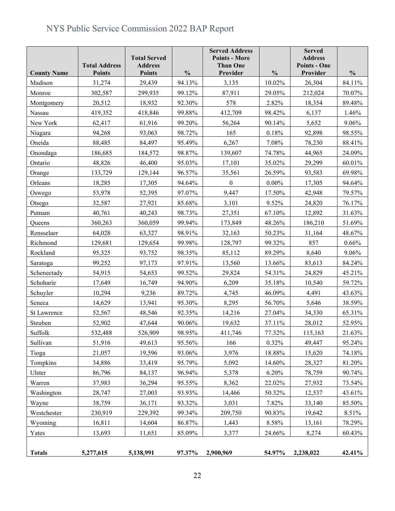|                    | <b>Total Address</b> | <b>Total Served</b><br><b>Address</b> |               | <b>Served Address</b><br><b>Points - More</b><br><b>Than One</b> |               | <b>Served</b><br><b>Address</b><br><b>Points - One</b> |               |
|--------------------|----------------------|---------------------------------------|---------------|------------------------------------------------------------------|---------------|--------------------------------------------------------|---------------|
| <b>County Name</b> | <b>Points</b>        | <b>Points</b>                         | $\frac{0}{0}$ | Provider                                                         | $\frac{0}{0}$ | Provider                                               | $\frac{0}{0}$ |
| Madison            | 31,274               | 29,439                                | 94.13%        | 3,135                                                            | 10.02%        | 26,304                                                 | 84.11%        |
| Monroe             | 302,587              | 299,935                               | 99.12%        | 87,911                                                           | 29.05%        | 212,024                                                | 70.07%        |
| Montgomery         | 20,512               | 18,932                                | 92.30%        | 578                                                              | 2.82%         | 18,354                                                 | 89.48%        |
| Nassau             | 419,352              | 418,846                               | 99.88%        | 412,709                                                          | 98.42%        | 6,137                                                  | 1.46%         |
| New York           | 62,417               | 61,916                                | 99.20%        | 56,264                                                           | 90.14%        | 5,652                                                  | 9.06%         |
| Niagara            | 94,268               | 93,063                                | 98.72%        | 165                                                              | 0.18%         | 92,898                                                 | 98.55%        |
| Oneida             | 88,485               | 84,497                                | 95.49%        | 6,267                                                            | 7.08%         | 78,230                                                 | 88.41%        |
| Onondaga           | 186,685              | 184,572                               | 98.87%        | 139,607                                                          | 74.78%        | 44,965                                                 | 24.09%        |
| Ontario            | 48,826               | 46,400                                | 95.03%        | 17,101                                                           | 35.02%        | 29,299                                                 | 60.01%        |
| Orange             | 133,729              | 129,144                               | 96.57%        | 35,561                                                           | 26.59%        | 93,583                                                 | 69.98%        |
| Orleans            | 18,285               | 17,305                                | 94.64%        | $\mathbf{0}$                                                     | $0.00\%$      | 17,305                                                 | 94.64%        |
| Oswego             | 53,978               | 52,395                                | 97.07%        | 9,447                                                            | 17.50%        | 42,948                                                 | 79.57%        |
| Otsego             | 32,587               | 27,921                                | 85.68%        | 3,101                                                            | 9.52%         | 24,820                                                 | 76.17%        |
| Putnam             | 40,761               | 40,243                                | 98.73%        | 27,351                                                           | 67.10%        | 12,892                                                 | 31.63%        |
| Queens             | 360,263              | 360,059                               | 99.94%        | 173,849                                                          | 48.26%        | 186,210                                                | 51.69%        |
| Rensselaer         | 64,028               | 63,327                                | 98.91%        | 32,163                                                           | 50.23%        | 31,164                                                 | 48.67%        |
| Richmond           | 129,681              | 129,654                               | 99.98%        | 128,797                                                          | 99.32%        | 857                                                    | 0.66%         |
| Rockland           | 95,325               | 93,752                                | 98.35%        | 85,112                                                           | 89.29%        | 8,640                                                  | 9.06%         |
| Saratoga           | 99,252               | 97,173                                | 97.91%        | 13,560                                                           | 13.66%        | 83,613                                                 | 84.24%        |
| Schenectady        | 54,915               | 54,653                                | 99.52%        | 29,824                                                           | 54.31%        | 24,829                                                 | 45.21%        |
| Schoharie          | 17,649               | 16,749                                | 94.90%        | 6,209                                                            | 35.18%        | 10,540                                                 | 59.72%        |
| Schuyler           | 10,294               | 9,236                                 | 89.72%        | 4,745                                                            | 46.09%        | 4,491                                                  | 43.63%        |
| Seneca             | 14,629               | 13,941                                | 95.30%        | 8,295                                                            | 56.70%        | 5,646                                                  | 38.59%        |
| <b>St Lawrence</b> | 52,567               | 48,546                                | 92.35%        | 14,216                                                           | 27.04%        | 34,330                                                 | 65.31%        |
| Steuben            | 52,902               | 47,644                                | 90.06%        | 19,632                                                           | 37.11%        | 28,012                                                 | 52.95%        |
| Suffolk            | 532,488              | 526,909                               | 98.95%        | 411.746                                                          | 77.32%        | 115,163                                                | 21.63%        |
| Sullivan           | 51,916               | 49,613                                | 95.56%        | 166                                                              | 0.32%         | 49,447                                                 | 95.24%        |
| Tioga              | 21,057               | 19,596                                | 93.06%        | 3,976                                                            | 18.88%        | 15,620                                                 | 74.18%        |
| Tompkins           | 34,886               | 33,419                                | 95.79%        | 5,092                                                            | 14.60%        | 28,327                                                 | 81.20%        |
| Ulster             | 86,796               | 84,137                                | 96.94%        | 5,378                                                            | 6.20%         | 78,759                                                 | 90.74%        |
| Warren             | 37,983               | 36,294                                | 95.55%        | 8,362                                                            | 22.02%        | 27,932                                                 | 73.54%        |
| Washington         | 28,747               | 27,003                                | 93.93%        | 14,466                                                           | 50.32%        | 12,537                                                 | 43.61%        |
| Wayne              | 38,759               | 36,171                                | 93.32%        | 3,031                                                            | 7.82%         | 33,140                                                 | 85.50%        |
| Westchester        | 230,919              | 229,392                               | 99.34%        | 209,750                                                          | 90.83%        | 19,642                                                 | 8.51%         |
| Wyoming            | 16,811               | 14,604                                | 86.87%        | 1,443                                                            | 8.58%         | 13,161                                                 | 78.29%        |
| Yates              | 13,693               | 11,651                                | 85.09%        | 3,377                                                            | 24.66%        | 8,274                                                  | 60.43%        |
| <b>Totals</b>      | 5,277,615            | 5,138,991                             | 97.37%        | 2,900,969                                                        | 54.97%        | 2,238,022                                              | 42.41%        |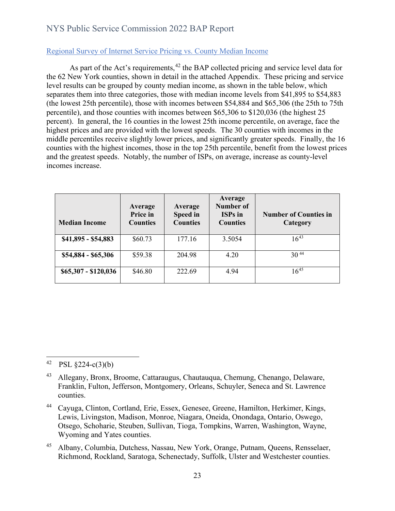#### <span id="page-22-0"></span>Regional Survey of Internet Service Pricing vs. County Median Income

As part of the Act's requirements,  $42$  the BAP collected pricing and service level data for the 62 New York counties, shown in detail in the attached Appendix. These pricing and service level results can be grouped by county median income, as shown in the table below, which separates them into three categories, those with median income levels from \$41,895 to \$54,883 (the lowest 25th percentile), those with incomes between \$54,884 and \$65,306 (the 25th to 75th percentile), and those counties with incomes between \$65,306 to \$120,036 (the highest 25 percent). In general, the 16 counties in the lowest 25th income percentile, on average, face the highest prices and are provided with the lowest speeds. The 30 counties with incomes in the middle percentiles receive slightly lower prices, and significantly greater speeds. Finally, the 16 counties with the highest incomes, those in the top 25th percentile, benefit from the lowest prices and the greatest speeds. Notably, the number of ISPs, on average, increase as county-level incomes increase.

| <b>Median Income</b> | Average<br>Price in<br><b>Counties</b> | Average<br>Speed in<br><b>Counties</b> | Average<br>Number of<br><b>ISPs</b> in<br><b>Counties</b> | <b>Number of Counties in</b><br>Category |
|----------------------|----------------------------------------|----------------------------------------|-----------------------------------------------------------|------------------------------------------|
| $$41,895 - $54,883$  | \$60.73                                | 177.16                                 | 3.5054                                                    | $16^{43}$                                |
| $$54,884 - $65,306$  | \$59.38                                | 204.98                                 | 4.20                                                      | $30^{44}$                                |
| $$65,307 - $120,036$ | \$46.80                                | 222.69                                 | 4.94                                                      | $16^{45}$                                |

<span id="page-22-1"></span>42 PSL  $\S224-c(3)(b)$ 

<span id="page-22-2"></span><sup>43</sup> Allegany, Bronx, Broome, Cattaraugus, Chautauqua, Chemung, Chenango, Delaware, Franklin, Fulton, Jefferson, Montgomery, Orleans, Schuyler, Seneca and St. Lawrence counties.

<span id="page-22-3"></span><sup>44</sup> Cayuga, Clinton, Cortland, Erie, Essex, Genesee, Greene, Hamilton, Herkimer, Kings, Lewis, Livingston, Madison, Monroe, Niagara, Oneida, Onondaga, Ontario, Oswego, Otsego, Schoharie, Steuben, Sullivan, Tioga, Tompkins, Warren, Washington, Wayne, Wyoming and Yates counties.

<span id="page-22-4"></span><sup>45</sup> Albany, Columbia, Dutchess, Nassau, New York, Orange, Putnam, Queens, Rensselaer, Richmond, Rockland, Saratoga, Schenectady, Suffolk, Ulster and Westchester counties.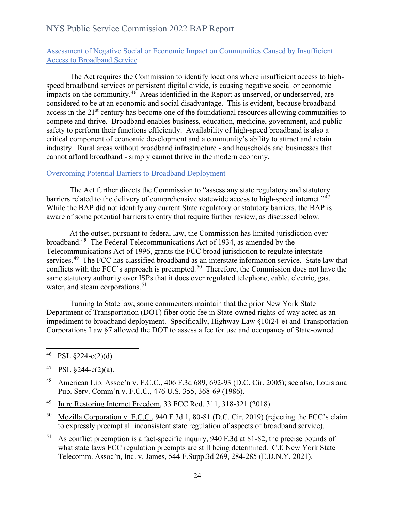#### <span id="page-23-0"></span>Assessment of Negative Social or Economic Impact on Communities Caused by Insufficient Access to Broadband Service

The Act requires the Commission to identify locations where insufficient access to highspeed broadband services or persistent digital divide, is causing negative social or economic impacts on the community.<sup>[46](#page-23-2)</sup> Areas identified in the Report as unserved, or underserved, are considered to be at an economic and social disadvantage. This is evident, because broadband access in the 21<sup>st</sup> century has become one of the foundational resources allowing communities to compete and thrive. Broadband enables business, education, medicine, government, and public safety to perform their functions efficiently. Availability of high-speed broadband is also a critical component of economic development and a community's ability to attract and retain industry. Rural areas without broadband infrastructure - and households and businesses that cannot afford broadband - simply cannot thrive in the modern economy.

#### <span id="page-23-1"></span>Overcoming Potential Barriers to Broadband Deployment

The Act further directs the Commission to "assess any state regulatory and statutory barriers related to the delivery of comprehensive statewide access to high-speed internet."<sup>47</sup> While the BAP did not identify any current State regulatory or statutory barriers, the BAP is aware of some potential barriers to entry that require further review, as discussed below.

At the outset, pursuant to federal law, the Commission has limited jurisdiction over broadband.[48](#page-23-4) The Federal Telecommunications Act of 1934, as amended by the Telecommunications Act of 1996, grants the FCC broad jurisdiction to regulate interstate services.<sup>[49](#page-23-5)</sup> The FCC has classified broadband as an interstate information service. State law that conflicts with the FCC's approach is preempted.<sup>[50](#page-23-6)</sup> Therefore, the Commission does not have the same statutory authority over ISPs that it does over regulated telephone, cable, electric, gas, water, and steam corporations.<sup>51</sup>

Turning to State law, some commenters maintain that the prior New York State Department of Transportation (DOT) fiber optic fee in State-owned rights-of-way acted as an impediment to broadband deployment. Specifically, Highway Law §10(24-e) and Transportation Corporations Law §7 allowed the DOT to assess a fee for use and occupancy of State-owned

<span id="page-23-3"></span>47 PSL  $\S244-c(2)(a)$ .

- <span id="page-23-4"></span><sup>48</sup> American Lib. Assoc'n v. F.C.C., 406 F.3d 689, 692-93 (D.C. Cir. 2005); see also, Louisiana Pub. Serv. Comm'n v. F.C.C., 476 U.S. 355, 368-69 (1986).
- <span id="page-23-5"></span>49 In re Restoring Internet Freedom, 33 FCC Rcd. 311, 318-321 (2018).
- <span id="page-23-6"></span>50 Mozilla Corporation v. F.C.C., 940 F.3d 1, 80-81 (D.C. Cir. 2019) (rejecting the FCC's claim to expressly preempt all inconsistent state regulation of aspects of broadband service).
- <span id="page-23-7"></span> $51$  As conflict preemption is a fact-specific inquiry, 940 F.3d at 81-82, the precise bounds of what state laws FCC regulation preempts are still being determined. C.f. New York State Telecomm. Assoc'n, Inc. v. James, 544 F.Supp.3d 269, 284-285 (E.D.N.Y. 2021).

<span id="page-23-2"></span> $46$  PSL §224-c(2)(d).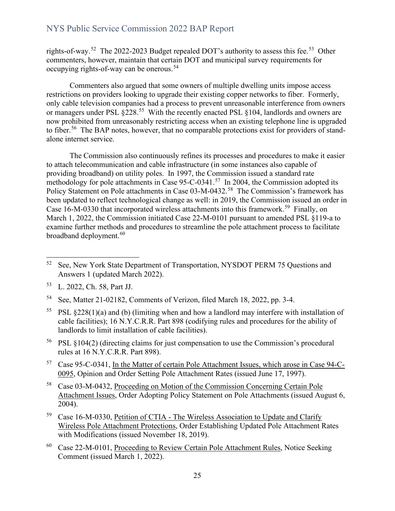rights-of-way.<sup>[52](#page-24-0)</sup> The 2022-2023 Budget repealed DOT's authority to assess this fee.<sup>53</sup> Other commenters, however, maintain that certain DOT and municipal survey requirements for occupying rights-of-way can be onerous.<sup>54</sup>

Commenters also argued that some owners of multiple dwelling units impose access restrictions on providers looking to upgrade their existing copper networks to fiber. Formerly, only cable television companies had a process to prevent unreasonable interference from owners or managers under PSL  $\Sigma$ 228.<sup>55</sup> With the recently enacted PSL  $\S$ 104, landlords and owners are now prohibited from unreasonably restricting access when an existing telephone line is upgraded to fiber.<sup>56</sup> The BAP notes, however, that no comparable protections exist for providers of standalone internet service.

The Commission also continuously refines its processes and procedures to make it easier to attach telecommunication and cable infrastructure (in some instances also capable of providing broadband) on utility poles. In 1997, the Commission issued a standard rate methodology for pole attachments in Case 95-C-0341.<sup>57</sup> In 2004, the Commission adopted its Policy Statement on Pole attachments in Case 03-M-0432.<sup>[58](#page-24-6)</sup> The Commission's framework has been updated to reflect technological change as well: in 2019, the Commission issued an order in Case 16-M-0330 that incorporated wireless attachments into this framework.<sup>59</sup> Finally, on March 1, 2022, the Commission initiated Case 22-M-0101 pursuant to amended PSL §119-a to examine further methods and procedures to streamline the pole attachment process to facilitate broadband deployment.<sup>[60](#page-24-8)</sup>

- <span id="page-24-3"></span><sup>55</sup> PSL §228(1)(a) and (b) (limiting when and how a landlord may interfere with installation of cable facilities); 16 N.Y.C.R.R. Part 898 (codifying rules and procedures for the ability of landlords to limit installation of cable facilities).
- <span id="page-24-4"></span>56 PSL §104(2) (directing claims for just compensation to use the Commission's procedural rules at 16 N.Y.C.R.R. Part 898).
- <span id="page-24-5"></span>57 Case 95-C-0341, In the Matter of certain Pole Attachment Issues, which arose in Case 94-C-0095, Opinion and Order Setting Pole Attachment Rates (issued June 17, 1997).
- <span id="page-24-6"></span>58 Case 03-M-0432, Proceeding on Motion of the Commission Concerning Certain Pole Attachment Issues, Order Adopting Policy Statement on Pole Attachments (issued August 6, 2004).
- <span id="page-24-7"></span>59 Case 16-M-0330, Petition of CTIA - The Wireless Association to Update and Clarify Wireless Pole Attachment Protections, Order Establishing Updated Pole Attachment Rates with Modifications (issued November 18, 2019).
- <span id="page-24-8"></span>60 Case 22-M-0101, Proceeding to Review Certain Pole Attachment Rules, Notice Seeking Comment (issued March 1, 2022).

<span id="page-24-0"></span><sup>&</sup>lt;sup>52</sup> See, New York State Department of Transportation, NYSDOT PERM 75 Questions and Answers 1 (updated March 2022).

<span id="page-24-1"></span><sup>53</sup> L. 2022, Ch. 58, Part JJ.

<span id="page-24-2"></span><sup>54</sup> See, Matter 21-02182, Comments of Verizon, filed March 18, 2022, pp. 3-4.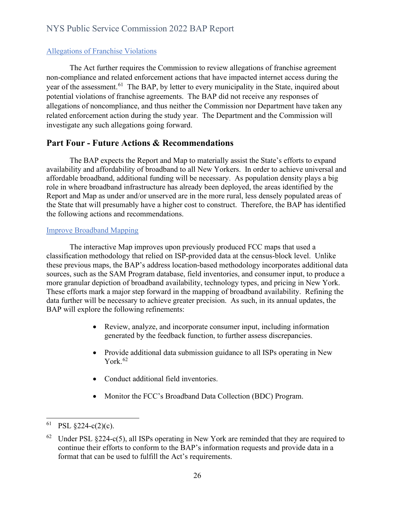#### <span id="page-25-0"></span>Allegations of Franchise Violations

The Act further requires the Commission to review allegations of franchise agreement non-compliance and related enforcement actions that have impacted internet access during the year of the assessment.<sup>[61](#page-25-3)</sup> The BAP, by letter to every municipality in the State, inquired about potential violations of franchise agreements. The BAP did not receive any responses of allegations of noncompliance, and thus neither the Commission nor Department have taken any related enforcement action during the study year. The Department and the Commission will investigate any such allegations going forward.

## <span id="page-25-1"></span>**Part Four - Future Actions & Recommendations**

The BAP expects the Report and Map to materially assist the State's efforts to expand availability and affordability of broadband to all New Yorkers. In order to achieve universal and affordable broadband, additional funding will be necessary. As population density plays a big role in where broadband infrastructure has already been deployed, the areas identified by the Report and Map as under and/or unserved are in the more rural, less densely populated areas of the State that will presumably have a higher cost to construct. Therefore, the BAP has identified the following actions and recommendations.

#### <span id="page-25-2"></span>Improve Broadband Mapping

The interactive Map improves upon previously produced FCC maps that used a classification methodology that relied on ISP-provided data at the census-block level. Unlike these previous maps, the BAP's address location-based methodology incorporates additional data sources, such as the SAM Program database, field inventories, and consumer input, to produce a more granular depiction of broadband availability, technology types, and pricing in New York. These efforts mark a major step forward in the mapping of broadband availability. Refining the data further will be necessary to achieve greater precision. As such, in its annual updates, the BAP will explore the following refinements:

- Review, analyze, and incorporate consumer input, including information generated by the feedback function, to further assess discrepancies.
- Provide additional data submission guidance to all ISPs operating in New York. [62](#page-25-4)
- Conduct additional field inventories.
- Monitor the FCC's Broadband Data Collection (BDC) Program.

<span id="page-25-3"></span> $^{61}$  PSL §224-c(2)(c).

<span id="page-25-4"></span> $62$  Under PSL §224-c(5), all ISPs operating in New York are reminded that they are required to continue their efforts to conform to the BAP's information requests and provide data in a format that can be used to fulfill the Act's requirements.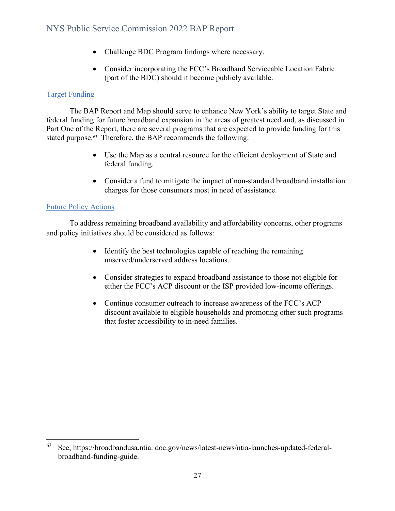- Challenge BDC Program findings where necessary.
- Consider incorporating the FCC's Broadband Serviceable Location Fabric (part of the BDC) should it become publicly available.

#### <span id="page-26-0"></span>Target Funding

The BAP Report and Map should serve to enhance New York's ability to target State and federal funding for future broadband expansion in the areas of greatest need and, as discussed in Part One of the Report, there are several programs that are expected to provide funding for this stated purpose.<sup>63</sup> Therefore, the BAP recommends the following:

- Use the Map as a central resource for the efficient deployment of State and federal funding.
- Consider a fund to mitigate the impact of non-standard broadband installation charges for those consumers most in need of assistance.

#### <span id="page-26-1"></span>Future Policy Actions

To address remaining broadband availability and affordability concerns, other programs and policy initiatives should be considered as follows:

- Identify the best technologies capable of reaching the remaining unserved/underserved address locations.
- Consider strategies to expand broadband assistance to those not eligible for either the FCC's ACP discount or the ISP provided low-income offerings.
- Continue consumer outreach to increase awareness of the FCC's ACP discount available to eligible households and promoting other such programs that foster accessibility to in-need families.

<span id="page-26-2"></span><sup>63</sup> See, https://broadbandusa.ntia. doc.gov/news/latest-news/ntia-launches-updated-federalbroadband-funding-guide.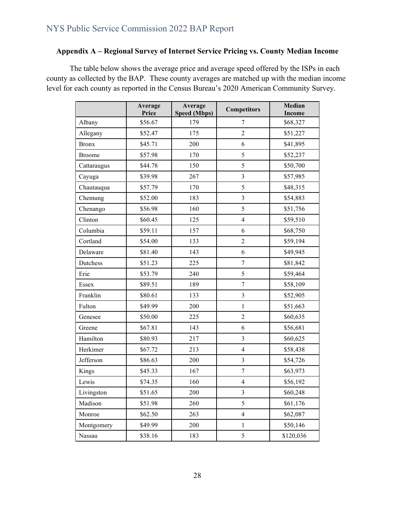### **Appendix A – Regional Survey of Internet Service Pricing vs. County Median Income**

The table below shows the average price and average speed offered by the ISPs in each county as collected by the BAP. These county averages are matched up with the median income level for each county as reported in the Census Bureau's 2020 American Community Survey.

|               | Average<br>Price | Average<br><b>Speed (Mbps)</b> | <b>Competitors</b>      | Median<br><b>Income</b> |
|---------------|------------------|--------------------------------|-------------------------|-------------------------|
| Albany        | \$56.67          | 179                            | 7                       | \$68,327                |
| Allegany      | \$52.47          | 175                            | $\overline{2}$          | \$51,227                |
| <b>Bronx</b>  | \$45.71          | 200                            | 6                       | \$41,895                |
| <b>Broome</b> | \$57.98          | 170                            | 5                       | \$52,237                |
| Cattaraugus   | \$44.78          | 150                            | 5                       | \$50,700                |
| Cayuga        | \$39.98          | 267                            | $\overline{3}$          | \$57,985                |
| Chautauqua    | \$57.79          | 170                            | 5                       | \$48,315                |
| Chemung       | \$52.00          | 183                            | $\overline{\mathbf{3}}$ | \$54,883                |
| Chenango      | \$56.98          | 160                            | 5                       | \$51,756                |
| Clinton       | \$60.45          | 125                            | $\overline{4}$          | \$59,510                |
| Columbia      | \$59.11          | 157                            | 6                       | \$68,750                |
| Cortland      | \$54.00          | 133                            | $\overline{2}$          | \$59,194                |
| Delaware      | \$81.40          | 143                            | 6                       | \$49,945                |
| Dutchess      | \$51.23          | 225                            | $\boldsymbol{7}$        | \$81,842                |
| Erie          | \$53.79          | 240                            | 5                       | \$59,464                |
| Essex         | \$89.51          | 189                            | $\boldsymbol{7}$        | \$58,109                |
| Franklin      | \$80.61          | 133                            | $\overline{3}$          | \$52,905                |
| Fulton        | \$49.99          | 200                            | $\mathbf{1}$            | \$51,663                |
| Genesee       | \$50.00          | 225                            | $\overline{2}$          | \$60,635                |
| Greene        | \$67.81          | 143                            | 6                       | \$56,681                |
| Hamilton      | \$80.93          | 217                            | $\overline{3}$          | \$60,625                |
| Herkimer      | \$67.72          | 213                            | $\overline{4}$          | \$58,438                |
| Jefferson     | \$86.63          | 200                            | 3                       | \$54,726                |
| Kings         | \$45.33          | 167                            | $\boldsymbol{7}$        | \$63,973                |
| Lewis         | \$74.35          | 160                            | $\overline{\mathbf{4}}$ | \$56,192                |
| Livingston    | \$51.65          | 200                            | $\mathfrak{Z}$          | \$60,248                |
| Madison       | \$51.98          | 260                            | 5                       | \$61,176                |
| Monroe        | \$62.50          | 263                            | $\overline{4}$          | \$62,087                |
| Montgomery    | \$49.99          | 200                            | $\mathbf{1}$            | \$50,146                |
| Nassau        | \$38.16          | 183                            | 5                       | \$120,036               |